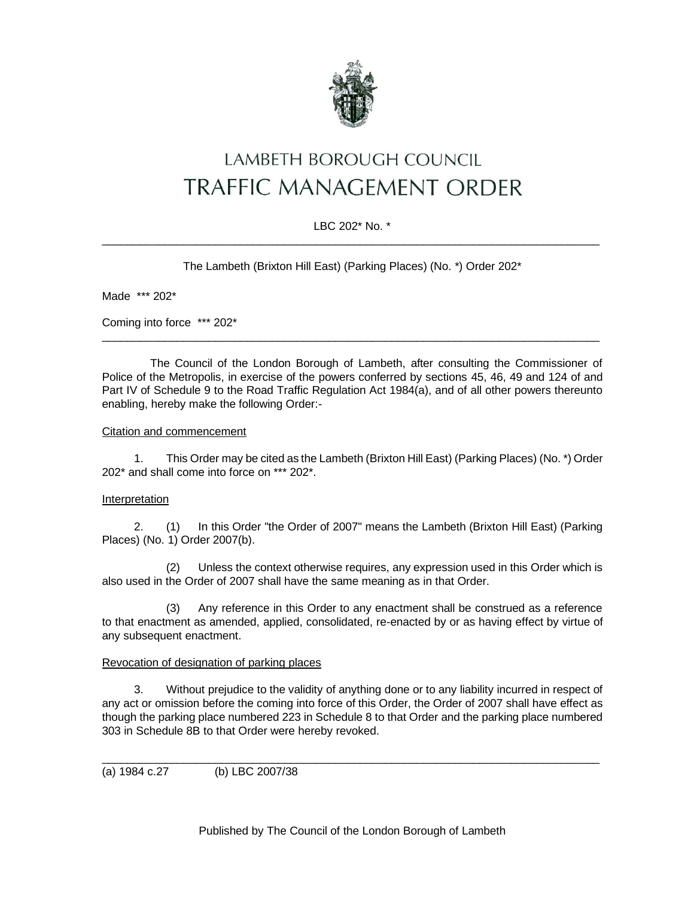

# LAMBETH BOROUGH COUNCIL **TRAFFIC MANAGEMENT ORDER**

# LBC 202\* No. \*  $\_$  ,  $\_$  ,  $\_$  ,  $\_$  ,  $\_$  ,  $\_$  ,  $\_$  ,  $\_$  ,  $\_$  ,  $\_$  ,  $\_$  ,  $\_$  ,  $\_$  ,  $\_$  ,  $\_$  ,  $\_$  ,  $\_$  ,  $\_$  ,  $\_$  ,  $\_$  ,  $\_$  ,  $\_$  ,  $\_$  ,  $\_$  ,  $\_$  ,  $\_$  ,  $\_$  ,  $\_$  ,  $\_$  ,  $\_$  ,  $\_$  ,  $\_$  ,  $\_$  ,  $\_$  ,  $\_$  ,  $\_$  ,  $\_$  ,

The Lambeth (Brixton Hill East) (Parking Places) (No. \*) Order 202\*

Made \*\*\* 202\*

Coming into force \*\*\* 202\*

The Council of the London Borough of Lambeth, after consulting the Commissioner of Police of the Metropolis, in exercise of the powers conferred by sections 45, 46, 49 and 124 of and Part IV of Schedule 9 to the Road Traffic Regulation Act 1984(a), and of all other powers thereunto enabling, hereby make the following Order:-

\_\_\_\_\_\_\_\_\_\_\_\_\_\_\_\_\_\_\_\_\_\_\_\_\_\_\_\_\_\_\_\_\_\_\_\_\_\_\_\_\_\_\_\_\_\_\_\_\_\_\_\_\_\_\_\_\_\_\_\_\_\_\_\_\_\_\_\_\_\_\_\_\_\_\_\_\_\_\_

### Citation and commencement

1. This Order may be cited as the Lambeth (Brixton Hill East) (Parking Places) (No. \*) Order 202\* and shall come into force on \*\*\* 202\*.

# Interpretation

2. (1) In this Order "the Order of 2007" means the Lambeth (Brixton Hill East) (Parking Places) (No. 1) Order 2007(b).

(2) Unless the context otherwise requires, any expression used in this Order which is also used in the Order of 2007 shall have the same meaning as in that Order.

(3) Any reference in this Order to any enactment shall be construed as a reference to that enactment as amended, applied, consolidated, re-enacted by or as having effect by virtue of any subsequent enactment.

### Revocation of designation of parking places

3. Without prejudice to the validity of anything done or to any liability incurred in respect of any act or omission before the coming into force of this Order, the Order of 2007 shall have effect as though the parking place numbered 223 in Schedule 8 to that Order and the parking place numbered 303 in Schedule 8B to that Order were hereby revoked.

\_\_\_\_\_\_\_\_\_\_\_\_\_\_\_\_\_\_\_\_\_\_\_\_\_\_\_\_\_\_\_\_\_\_\_\_\_\_\_\_\_\_\_\_\_\_\_\_\_\_\_\_\_\_\_\_\_\_\_\_\_\_\_\_\_\_\_\_\_\_\_\_\_\_\_\_\_\_\_

(a) 1984 c.27 (b) LBC 2007/38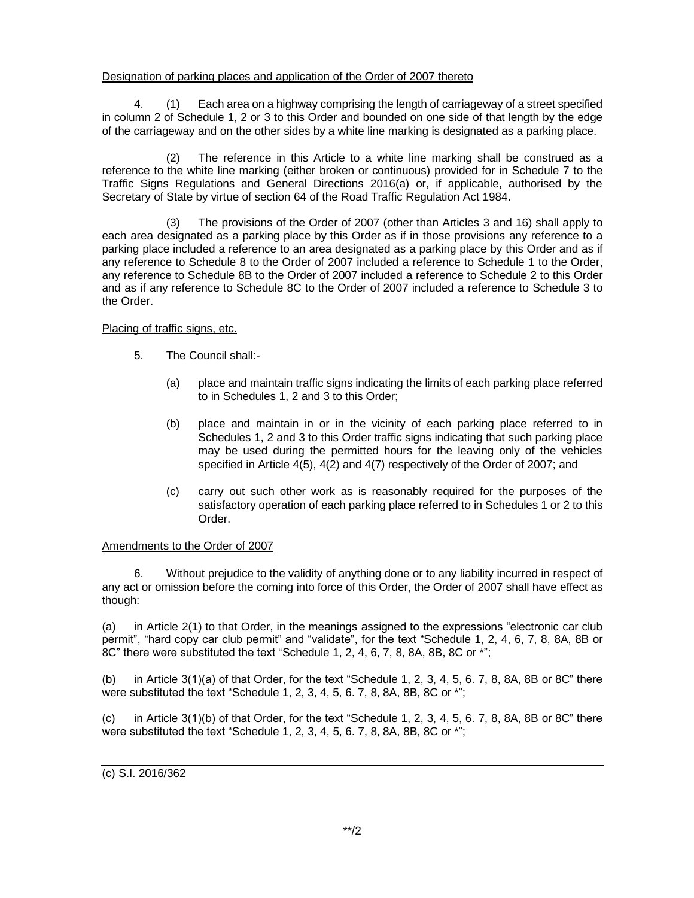## Designation of parking places and application of the Order of 2007 thereto

4. (1) Each area on a highway comprising the length of carriageway of a street specified in column 2 of Schedule 1, 2 or 3 to this Order and bounded on one side of that length by the edge of the carriageway and on the other sides by a white line marking is designated as a parking place.

(2) The reference in this Article to a white line marking shall be construed as a reference to the white line marking (either broken or continuous) provided for in Schedule 7 to the Traffic Signs Regulations and General Directions 2016(a) or, if applicable, authorised by the Secretary of State by virtue of section 64 of the Road Traffic Regulation Act 1984.

(3) The provisions of the Order of 2007 (other than Articles 3 and 16) shall apply to each area designated as a parking place by this Order as if in those provisions any reference to a parking place included a reference to an area designated as a parking place by this Order and as if any reference to Schedule 8 to the Order of 2007 included a reference to Schedule 1 to the Order, any reference to Schedule 8B to the Order of 2007 included a reference to Schedule 2 to this Order and as if any reference to Schedule 8C to the Order of 2007 included a reference to Schedule 3 to the Order.

# Placing of traffic signs, etc.

- 5. The Council shall:-
	- (a) place and maintain traffic signs indicating the limits of each parking place referred to in Schedules 1, 2 and 3 to this Order;
	- (b) place and maintain in or in the vicinity of each parking place referred to in Schedules 1, 2 and 3 to this Order traffic signs indicating that such parking place may be used during the permitted hours for the leaving only of the vehicles specified in Article 4(5), 4(2) and 4(7) respectively of the Order of 2007; and
	- (c) carry out such other work as is reasonably required for the purposes of the satisfactory operation of each parking place referred to in Schedules 1 or 2 to this Order.

### Amendments to the Order of 2007

6. Without prejudice to the validity of anything done or to any liability incurred in respect of any act or omission before the coming into force of this Order, the Order of 2007 shall have effect as though:

(a) in Article 2(1) to that Order, in the meanings assigned to the expressions "electronic car club permit", "hard copy car club permit" and "validate", for the text "Schedule 1, 2, 4, 6, 7, 8, 8A, 8B or 8C" there were substituted the text "Schedule 1, 2, 4, 6, 7, 8, 8A, 8B, 8C or \*";

(b) in Article 3(1)(a) of that Order, for the text "Schedule 1, 2, 3, 4, 5, 6. 7, 8, 8A, 8B or 8C" there were substituted the text "Schedule 1, 2, 3, 4, 5, 6. 7, 8, 8A, 8B, 8C or \*";

(c) in Article  $3(1)(b)$  of that Order, for the text "Schedule 1, 2, 3, 4, 5, 6. 7, 8, 8A, 8B or 8C" there were substituted the text "Schedule 1, 2, 3, 4, 5, 6. 7, 8, 8A, 8B, 8C or \*";

# (c) S.I. 2016/362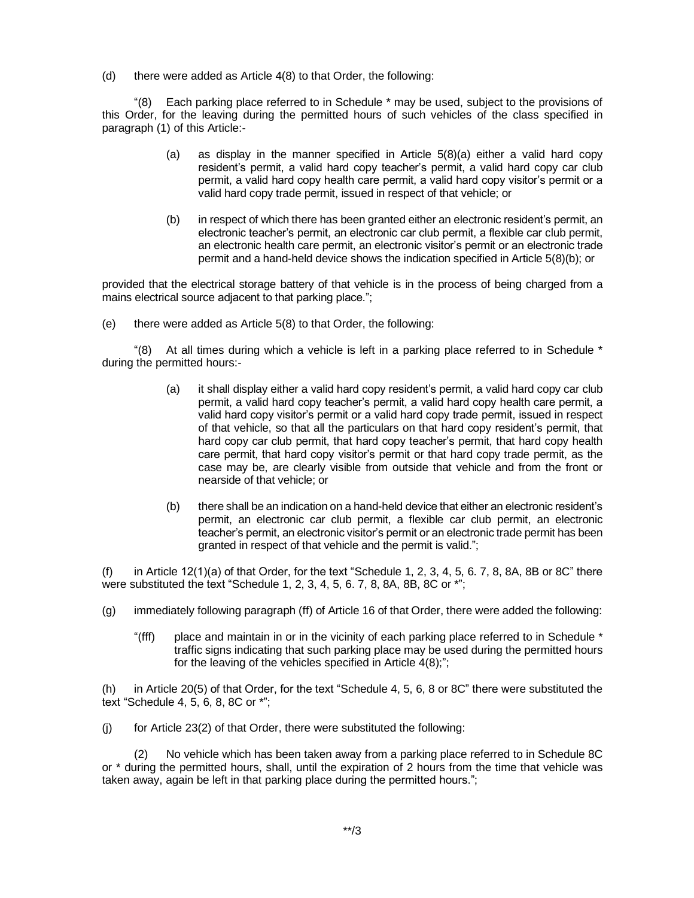(d) there were added as Article 4(8) to that Order, the following:

"(8) Each parking place referred to in Schedule \* may be used, subject to the provisions of this Order, for the leaving during the permitted hours of such vehicles of the class specified in paragraph (1) of this Article:-

- (a) as display in the manner specified in Article 5(8)(a) either a valid hard copy resident's permit, a valid hard copy teacher's permit, a valid hard copy car club permit, a valid hard copy health care permit, a valid hard copy visitor's permit or a valid hard copy trade permit, issued in respect of that vehicle; or
- (b) in respect of which there has been granted either an electronic resident's permit, an electronic teacher's permit, an electronic car club permit, a flexible car club permit, an electronic health care permit, an electronic visitor's permit or an electronic trade permit and a hand-held device shows the indication specified in Article 5(8)(b); or

provided that the electrical storage battery of that vehicle is in the process of being charged from a mains electrical source adjacent to that parking place.";

(e) there were added as Article 5(8) to that Order, the following:

"(8) At all times during which a vehicle is left in a parking place referred to in Schedule  $*$ during the permitted hours:-

- (a) it shall display either a valid hard copy resident's permit, a valid hard copy car club permit, a valid hard copy teacher's permit, a valid hard copy health care permit, a valid hard copy visitor's permit or a valid hard copy trade permit, issued in respect of that vehicle, so that all the particulars on that hard copy resident's permit, that hard copy car club permit, that hard copy teacher's permit, that hard copy health care permit, that hard copy visitor's permit or that hard copy trade permit, as the case may be, are clearly visible from outside that vehicle and from the front or nearside of that vehicle; or
- (b) there shall be an indication on a hand-held device that either an electronic resident's permit, an electronic car club permit, a flexible car club permit, an electronic teacher's permit, an electronic visitor's permit or an electronic trade permit has been granted in respect of that vehicle and the permit is valid.";

(f) in Article 12(1)(a) of that Order, for the text "Schedule 1, 2, 3, 4, 5, 6. 7, 8, 8A, 8B or 8C" there were substituted the text "Schedule 1, 2, 3, 4, 5, 6. 7, 8, 8A, 8B, 8C or \*";

- (g) immediately following paragraph (ff) of Article 16 of that Order, there were added the following:
	- "(fff) place and maintain in or in the vicinity of each parking place referred to in Schedule \* traffic signs indicating that such parking place may be used during the permitted hours for the leaving of the vehicles specified in Article 4(8);";

(h) in Article 20(5) of that Order, for the text "Schedule 4, 5, 6, 8 or 8C" there were substituted the text "Schedule 4, 5, 6, 8, 8C or \*";

(j) for Article 23(2) of that Order, there were substituted the following:

(2) No vehicle which has been taken away from a parking place referred to in Schedule 8C or \* during the permitted hours, shall, until the expiration of 2 hours from the time that vehicle was taken away, again be left in that parking place during the permitted hours.";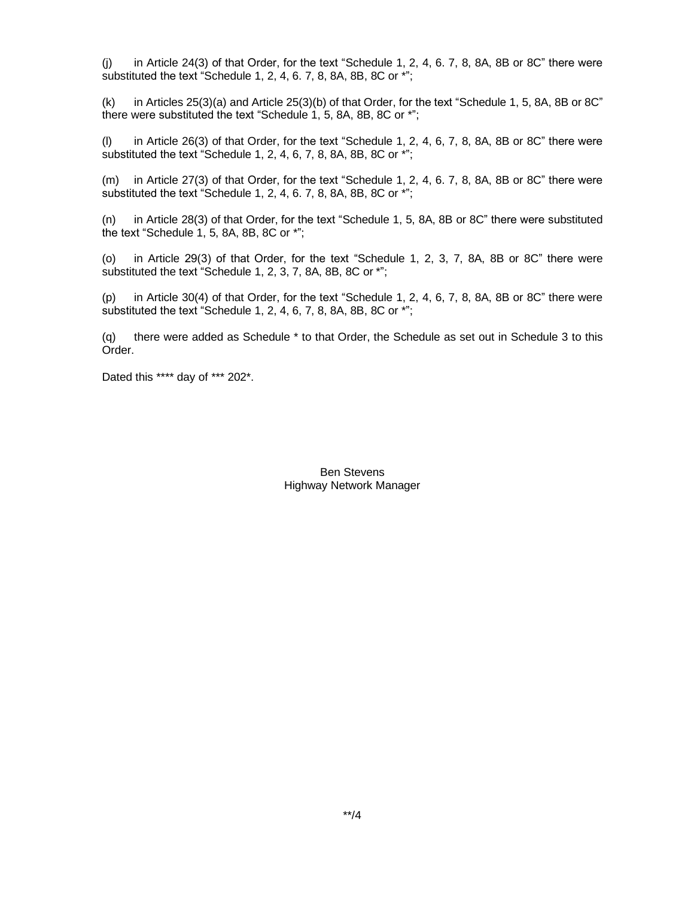(j) in Article 24(3) of that Order, for the text "Schedule 1, 2, 4, 6. 7, 8, 8A, 8B or 8C" there were substituted the text "Schedule 1, 2, 4, 6. 7, 8, 8A, 8B, 8C or \*";

(k) in Articles 25(3)(a) and Article 25(3)(b) of that Order, for the text "Schedule 1, 5, 8A, 8B or 8C" there were substituted the text "Schedule 1, 5, 8A, 8B, 8C or \*";

(l) in Article 26(3) of that Order, for the text "Schedule 1, 2, 4, 6, 7, 8, 8A, 8B or 8C" there were substituted the text "Schedule 1, 2, 4, 6, 7, 8, 8A, 8B, 8C or \*";

(m) in Article 27(3) of that Order, for the text "Schedule 1, 2, 4, 6. 7, 8, 8A, 8B or 8C" there were substituted the text "Schedule 1, 2, 4, 6. 7, 8, 8A, 8B, 8C or \*";

(n) in Article 28(3) of that Order, for the text "Schedule 1, 5, 8A, 8B or 8C" there were substituted the text "Schedule 1, 5, 8A, 8B, 8C or \*";

(o) in Article 29(3) of that Order, for the text "Schedule 1, 2, 3, 7, 8A, 8B or 8C" there were substituted the text "Schedule 1, 2, 3, 7, 8A, 8B, 8C or \*";

(p) in Article 30(4) of that Order, for the text "Schedule 1, 2, 4, 6, 7, 8, 8A, 8B or 8C" there were substituted the text "Schedule 1, 2, 4, 6, 7, 8, 8A, 8B, 8C or \*";

(q) there were added as Schedule \* to that Order, the Schedule as set out in Schedule 3 to this Order.

Dated this \*\*\*\* day of \*\*\* 202\*.

Ben Stevens Highway Network Manager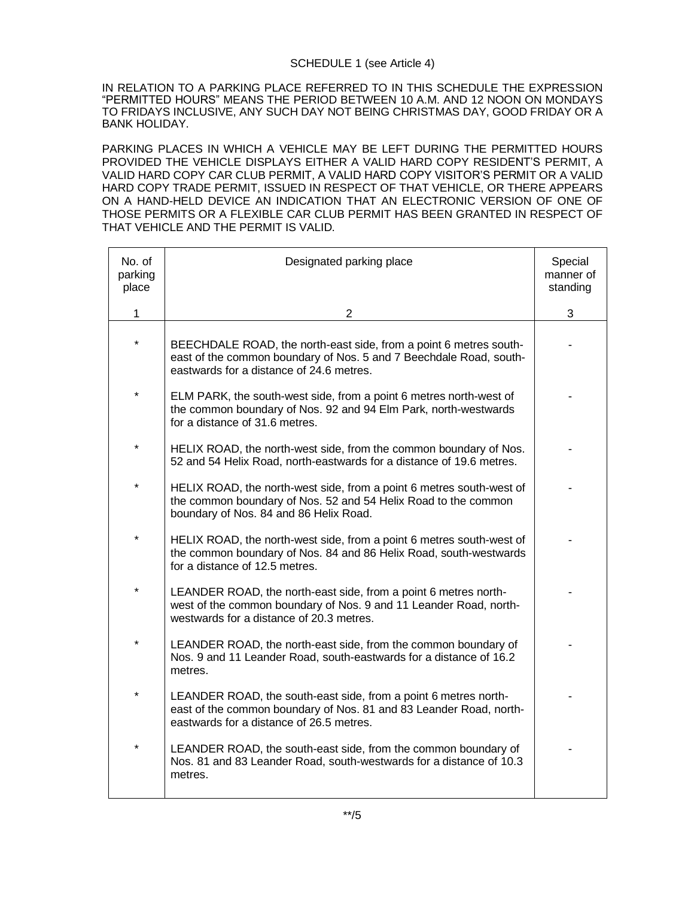# SCHEDULE 1 (see Article 4)

IN RELATION TO A PARKING PLACE REFERRED TO IN THIS SCHEDULE THE EXPRESSION "PERMITTED HOURS" MEANS THE PERIOD BETWEEN 10 A.M. AND 12 NOON ON MONDAYS TO FRIDAYS INCLUSIVE, ANY SUCH DAY NOT BEING CHRISTMAS DAY, GOOD FRIDAY OR A BANK HOLIDAY.

PARKING PLACES IN WHICH A VEHICLE MAY BE LEFT DURING THE PERMITTED HOURS PROVIDED THE VEHICLE DISPLAYS EITHER A VALID HARD COPY RESIDENT'S PERMIT, A VALID HARD COPY CAR CLUB PERMIT, A VALID HARD COPY VISITOR'S PERMIT OR A VALID HARD COPY TRADE PERMIT, ISSUED IN RESPECT OF THAT VEHICLE, OR THERE APPEARS ON A HAND-HELD DEVICE AN INDICATION THAT AN ELECTRONIC VERSION OF ONE OF THOSE PERMITS OR A FLEXIBLE CAR CLUB PERMIT HAS BEEN GRANTED IN RESPECT OF THAT VEHICLE AND THE PERMIT IS VALID.

| No. of<br>parking<br>place | Designated parking place                                                                                                                                                            | Special<br>manner of<br>standing |
|----------------------------|-------------------------------------------------------------------------------------------------------------------------------------------------------------------------------------|----------------------------------|
| $\mathbf 1$                | $\overline{2}$                                                                                                                                                                      | 3                                |
| $\star$                    | BEECHDALE ROAD, the north-east side, from a point 6 metres south-<br>east of the common boundary of Nos. 5 and 7 Beechdale Road, south-<br>eastwards for a distance of 24.6 metres. |                                  |
| $\star$                    | ELM PARK, the south-west side, from a point 6 metres north-west of<br>the common boundary of Nos. 92 and 94 Elm Park, north-westwards<br>for a distance of 31.6 metres.             |                                  |
| $\star$                    | HELIX ROAD, the north-west side, from the common boundary of Nos.<br>52 and 54 Helix Road, north-eastwards for a distance of 19.6 metres.                                           |                                  |
| $\star$                    | HELIX ROAD, the north-west side, from a point 6 metres south-west of<br>the common boundary of Nos. 52 and 54 Helix Road to the common<br>boundary of Nos. 84 and 86 Helix Road.    |                                  |
| $\star$                    | HELIX ROAD, the north-west side, from a point 6 metres south-west of<br>the common boundary of Nos. 84 and 86 Helix Road, south-westwards<br>for a distance of 12.5 metres.         |                                  |
| $\star$                    | LEANDER ROAD, the north-east side, from a point 6 metres north-<br>west of the common boundary of Nos. 9 and 11 Leander Road, north-<br>westwards for a distance of 20.3 metres.    |                                  |
| *                          | LEANDER ROAD, the north-east side, from the common boundary of<br>Nos. 9 and 11 Leander Road, south-eastwards for a distance of 16.2<br>metres.                                     |                                  |
| $\star$                    | LEANDER ROAD, the south-east side, from a point 6 metres north-<br>east of the common boundary of Nos. 81 and 83 Leander Road, north-<br>eastwards for a distance of 26.5 metres.   |                                  |
| *                          | LEANDER ROAD, the south-east side, from the common boundary of<br>Nos. 81 and 83 Leander Road, south-westwards for a distance of 10.3<br>metres.                                    |                                  |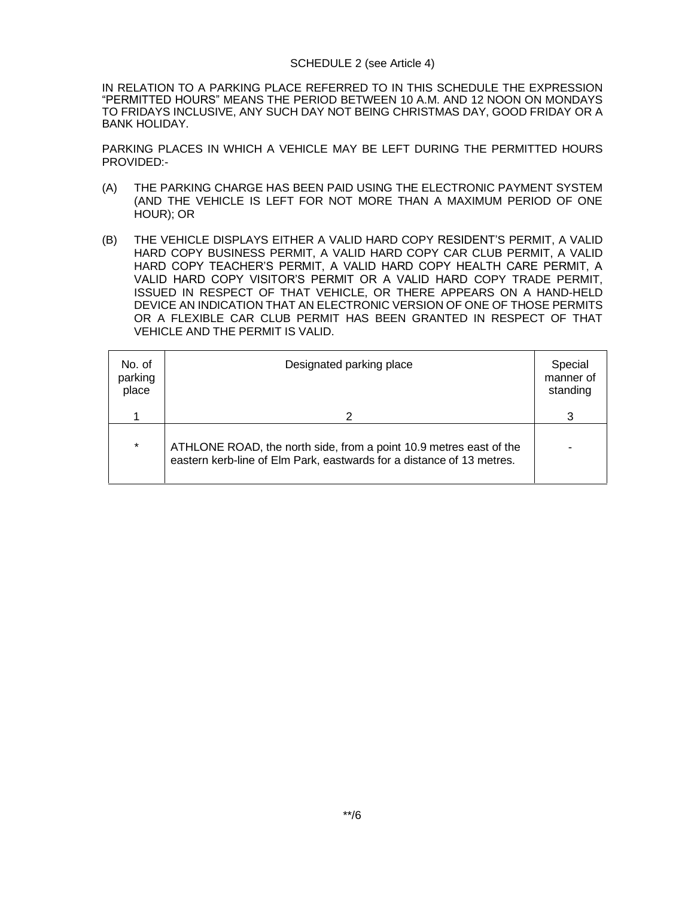### SCHEDULE 2 (see Article 4)

IN RELATION TO A PARKING PLACE REFERRED TO IN THIS SCHEDULE THE EXPRESSION "PERMITTED HOURS" MEANS THE PERIOD BETWEEN 10 A.M. AND 12 NOON ON MONDAYS TO FRIDAYS INCLUSIVE, ANY SUCH DAY NOT BEING CHRISTMAS DAY, GOOD FRIDAY OR A BANK HOLIDAY.

PARKING PLACES IN WHICH A VEHICLE MAY BE LEFT DURING THE PERMITTED HOURS PROVIDED:-

- (A) THE PARKING CHARGE HAS BEEN PAID USING THE ELECTRONIC PAYMENT SYSTEM (AND THE VEHICLE IS LEFT FOR NOT MORE THAN A MAXIMUM PERIOD OF ONE HOUR); OR
- (B) THE VEHICLE DISPLAYS EITHER A VALID HARD COPY RESIDENT'S PERMIT, A VALID HARD COPY BUSINESS PERMIT, A VALID HARD COPY CAR CLUB PERMIT, A VALID HARD COPY TEACHER'S PERMIT, A VALID HARD COPY HEALTH CARE PERMIT, A VALID HARD COPY VISITOR'S PERMIT OR A VALID HARD COPY TRADE PERMIT, ISSUED IN RESPECT OF THAT VEHICLE, OR THERE APPEARS ON A HAND-HELD DEVICE AN INDICATION THAT AN ELECTRONIC VERSION OF ONE OF THOSE PERMITS OR A FLEXIBLE CAR CLUB PERMIT HAS BEEN GRANTED IN RESPECT OF THAT VEHICLE AND THE PERMIT IS VALID.

| No. of<br>parking<br>place | Designated parking place                                                                                                                    | Special<br>manner of<br>standing |
|----------------------------|---------------------------------------------------------------------------------------------------------------------------------------------|----------------------------------|
|                            | 2                                                                                                                                           | 3                                |
| $\star$                    | ATHLONE ROAD, the north side, from a point 10.9 metres east of the<br>eastern kerb-line of Elm Park, eastwards for a distance of 13 metres. | -                                |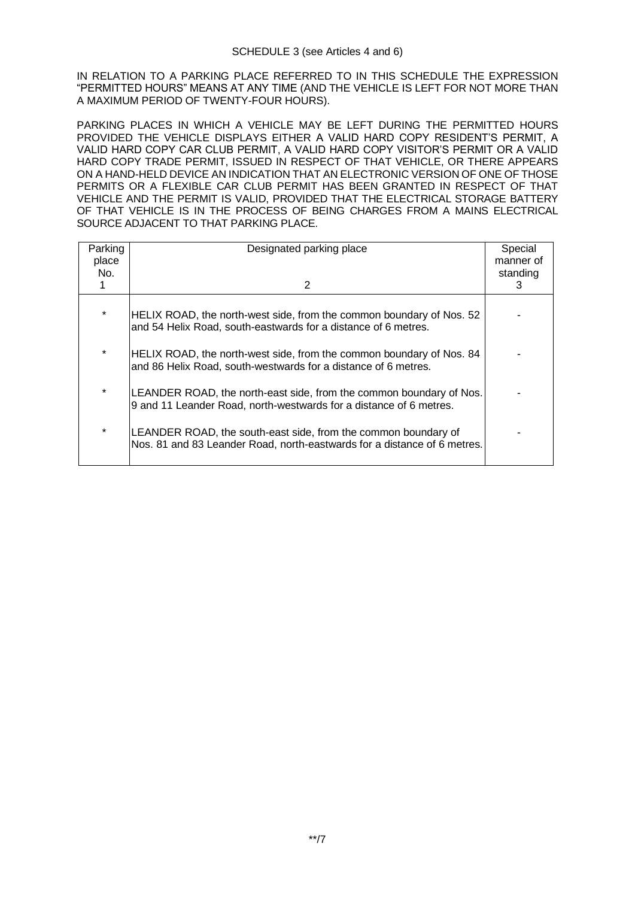IN RELATION TO A PARKING PLACE REFERRED TO IN THIS SCHEDULE THE EXPRESSION "PERMITTED HOURS" MEANS AT ANY TIME (AND THE VEHICLE IS LEFT FOR NOT MORE THAN A MAXIMUM PERIOD OF TWENTY-FOUR HOURS).

PARKING PLACES IN WHICH A VEHICLE MAY BE LEFT DURING THE PERMITTED HOURS PROVIDED THE VEHICLE DISPLAYS EITHER A VALID HARD COPY RESIDENT'S PERMIT, A VALID HARD COPY CAR CLUB PERMIT, A VALID HARD COPY VISITOR'S PERMIT OR A VALID HARD COPY TRADE PERMIT, ISSUED IN RESPECT OF THAT VEHICLE, OR THERE APPEARS ON A HAND-HELD DEVICE AN INDICATION THAT AN ELECTRONIC VERSION OF ONE OF THOSE PERMITS OR A FLEXIBLE CAR CLUB PERMIT HAS BEEN GRANTED IN RESPECT OF THAT VEHICLE AND THE PERMIT IS VALID, PROVIDED THAT THE ELECTRICAL STORAGE BATTERY OF THAT VEHICLE IS IN THE PROCESS OF BEING CHARGES FROM A MAINS ELECTRICAL SOURCE ADJACENT TO THAT PARKING PLACE.

| Parking<br>place | Designated parking place                                                                                                                   | Special<br>manner of |
|------------------|--------------------------------------------------------------------------------------------------------------------------------------------|----------------------|
| No.              |                                                                                                                                            | standing             |
|                  | 2                                                                                                                                          | 3                    |
| $\star$          | HELIX ROAD, the north-west side, from the common boundary of Nos. 52<br>and 54 Helix Road, south-eastwards for a distance of 6 metres.     |                      |
| $\star$          | HELIX ROAD, the north-west side, from the common boundary of Nos. 84<br>and 86 Helix Road, south-westwards for a distance of 6 metres.     |                      |
| $\star$          | LEANDER ROAD, the north-east side, from the common boundary of Nos.<br>9 and 11 Leander Road, north-westwards for a distance of 6 metres.  |                      |
| $\star$          | LEANDER ROAD, the south-east side, from the common boundary of<br>Nos. 81 and 83 Leander Road, north-eastwards for a distance of 6 metres. |                      |